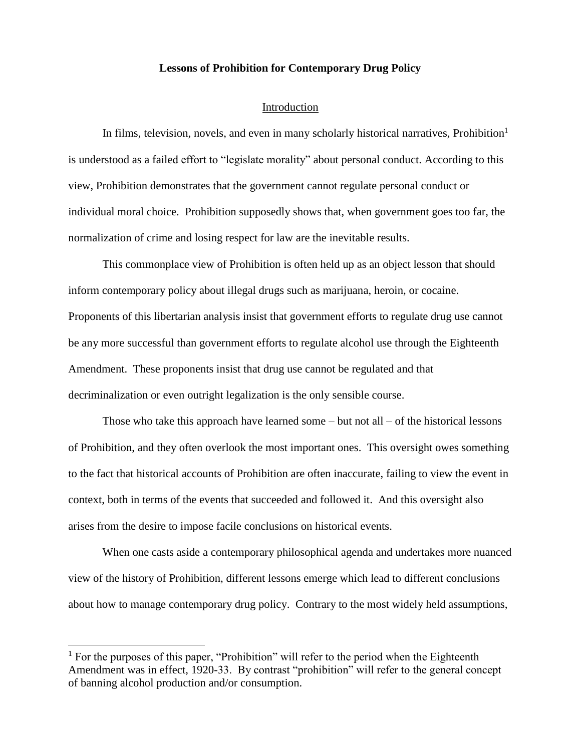#### **Lessons of Prohibition for Contemporary Drug Policy**

#### Introduction

In films, television, novels, and even in many scholarly historical narratives, Prohibition<sup>1</sup> is understood as a failed effort to "legislate morality" about personal conduct. According to this view, Prohibition demonstrates that the government cannot regulate personal conduct or individual moral choice. Prohibition supposedly shows that, when government goes too far, the normalization of crime and losing respect for law are the inevitable results.

This commonplace view of Prohibition is often held up as an object lesson that should inform contemporary policy about illegal drugs such as marijuana, heroin, or cocaine. Proponents of this libertarian analysis insist that government efforts to regulate drug use cannot be any more successful than government efforts to regulate alcohol use through the Eighteenth Amendment. These proponents insist that drug use cannot be regulated and that decriminalization or even outright legalization is the only sensible course.

Those who take this approach have learned some  $-$  but not all  $-$  of the historical lessons of Prohibition, and they often overlook the most important ones. This oversight owes something to the fact that historical accounts of Prohibition are often inaccurate, failing to view the event in context, both in terms of the events that succeeded and followed it. And this oversight also arises from the desire to impose facile conclusions on historical events.

When one casts aside a contemporary philosophical agenda and undertakes more nuanced view of the history of Prohibition, different lessons emerge which lead to different conclusions about how to manage contemporary drug policy. Contrary to the most widely held assumptions,

<sup>&</sup>lt;sup>1</sup> For the purposes of this paper, "Prohibition" will refer to the period when the Eighteenth Amendment was in effect, 1920-33. By contrast "prohibition" will refer to the general concept of banning alcohol production and/or consumption.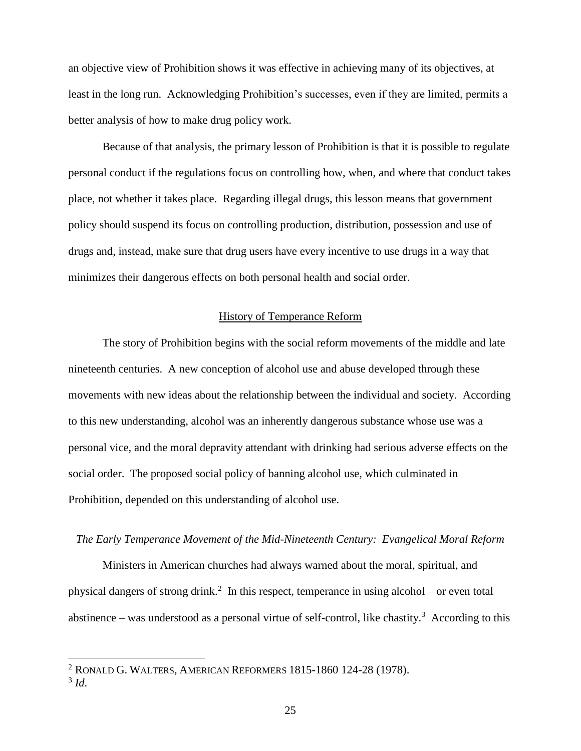an objective view of Prohibition shows it was effective in achieving many of its objectives, at least in the long run. Acknowledging Prohibition's successes, even if they are limited, permits a better analysis of how to make drug policy work.

Because of that analysis, the primary lesson of Prohibition is that it is possible to regulate personal conduct if the regulations focus on controlling how, when, and where that conduct takes place, not whether it takes place. Regarding illegal drugs, this lesson means that government policy should suspend its focus on controlling production, distribution, possession and use of drugs and, instead, make sure that drug users have every incentive to use drugs in a way that minimizes their dangerous effects on both personal health and social order.

#### History of Temperance Reform

The story of Prohibition begins with the social reform movements of the middle and late nineteenth centuries. A new conception of alcohol use and abuse developed through these movements with new ideas about the relationship between the individual and society. According to this new understanding, alcohol was an inherently dangerous substance whose use was a personal vice, and the moral depravity attendant with drinking had serious adverse effects on the social order. The proposed social policy of banning alcohol use, which culminated in Prohibition, depended on this understanding of alcohol use.

## *The Early Temperance Movement of the Mid-Nineteenth Century: Evangelical Moral Reform*

Ministers in American churches had always warned about the moral, spiritual, and physical dangers of strong drink.<sup>2</sup> In this respect, temperance in using alcohol – or even total abstinence – was understood as a personal virtue of self-control, like chastity.<sup>3</sup> According to this

3 *Id*.

 $2$  RONALD G. WALTERS, AMERICAN REFORMERS 1815-1860 124-28 (1978).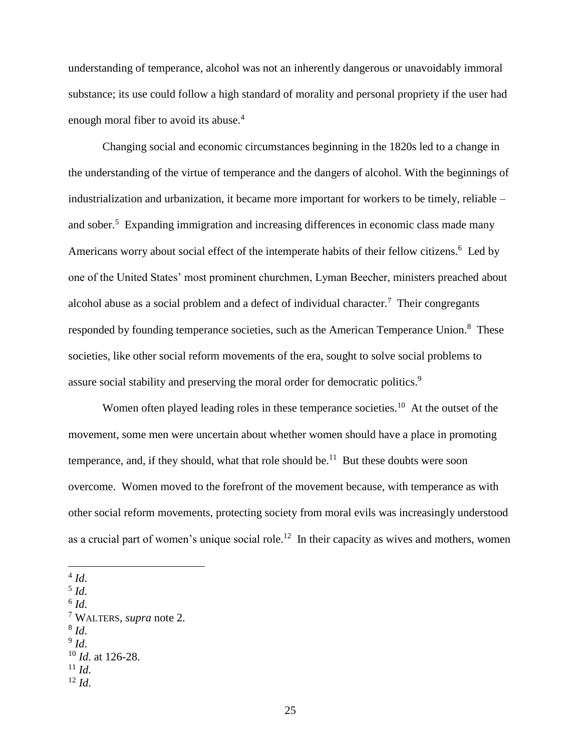understanding of temperance, alcohol was not an inherently dangerous or unavoidably immoral substance; its use could follow a high standard of morality and personal propriety if the user had enough moral fiber to avoid its abuse.<sup>4</sup>

Changing social and economic circumstances beginning in the 1820s led to a change in the understanding of the virtue of temperance and the dangers of alcohol. With the beginnings of industrialization and urbanization, it became more important for workers to be timely, reliable – and sober.<sup>5</sup> Expanding immigration and increasing differences in economic class made many Americans worry about social effect of the intemperate habits of their fellow citizens.<sup>6</sup> Led by one of the United States' most prominent churchmen, Lyman Beecher, ministers preached about alcohol abuse as a social problem and a defect of individual character.<sup>7</sup> Their congregants responded by founding temperance societies, such as the American Temperance Union.<sup>8</sup> These societies, like other social reform movements of the era, sought to solve social problems to assure social stability and preserving the moral order for democratic politics.<sup>9</sup>

Women often played leading roles in these temperance societies.<sup>10</sup> At the outset of the movement, some men were uncertain about whether women should have a place in promoting temperance, and, if they should, what that role should be.<sup>11</sup> But these doubts were soon overcome. Women moved to the forefront of the movement because, with temperance as with other social reform movements, protecting society from moral evils was increasingly understood as a crucial part of women's unique social role.<sup>12</sup> In their capacity as wives and mothers, women

 $\overline{a}$ 

- 5 *Id*.
- 6 *Id*.

<sup>7</sup> WALTERS, *supra* note 2. 8 *Id*. 9 *Id*.

<sup>12</sup> *Id*.

<sup>4</sup> *Id*.

<sup>10</sup> *Id*. at 126-28.

<sup>11</sup> *Id*.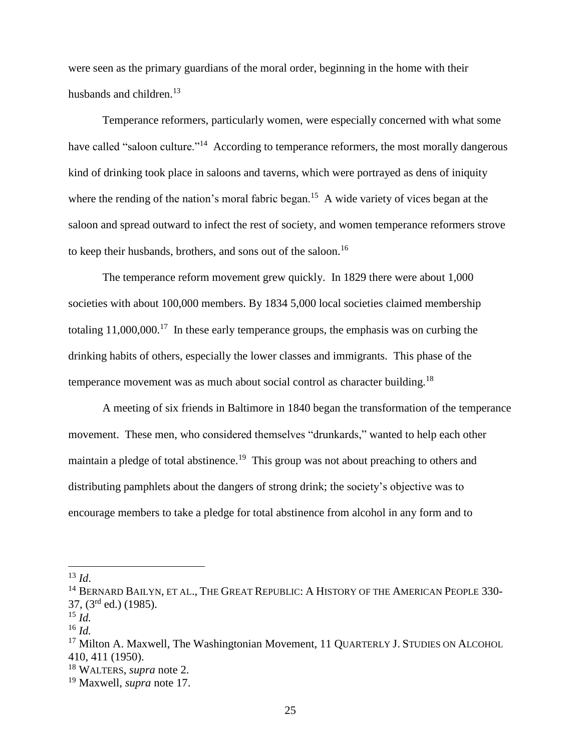were seen as the primary guardians of the moral order, beginning in the home with their husbands and children.<sup>13</sup>

Temperance reformers, particularly women, were especially concerned with what some have called "saloon culture."<sup>14</sup> According to temperance reformers, the most morally dangerous kind of drinking took place in saloons and taverns, which were portrayed as dens of iniquity where the rending of the nation's moral fabric began.<sup>15</sup> A wide variety of vices began at the saloon and spread outward to infect the rest of society, and women temperance reformers strove to keep their husbands, brothers, and sons out of the saloon.<sup>16</sup>

The temperance reform movement grew quickly. In 1829 there were about 1,000 societies with about 100,000 members. By 1834 5,000 local societies claimed membership totaling  $11,000,000$ <sup>17</sup> In these early temperance groups, the emphasis was on curbing the drinking habits of others, especially the lower classes and immigrants. This phase of the temperance movement was as much about social control as character building.<sup>18</sup>

A meeting of six friends in Baltimore in 1840 began the transformation of the temperance movement. These men, who considered themselves "drunkards," wanted to help each other maintain a pledge of total abstinence.<sup>19</sup> This group was not about preaching to others and distributing pamphlets about the dangers of strong drink; the society's objective was to encourage members to take a pledge for total abstinence from alcohol in any form and to

 $^{13}$  *Id*.

<sup>&</sup>lt;sup>14</sup> BERNARD BAILYN, ET AL., THE GREAT REPUBLIC: A HISTORY OF THE AMERICAN PEOPLE 330- $37, (3<sup>rd</sup> ed.)$  (1985).

<sup>15</sup> *Id.*

<sup>16</sup> *Id.*

<sup>&</sup>lt;sup>17</sup> Milton A. Maxwell, The Washingtonian Movement, 11 QUARTERLY J. STUDIES ON ALCOHOL 410, 411 (1950).

<sup>18</sup> WALTERS, *supra* note 2.

<sup>19</sup> Maxwell, *supra* note 17.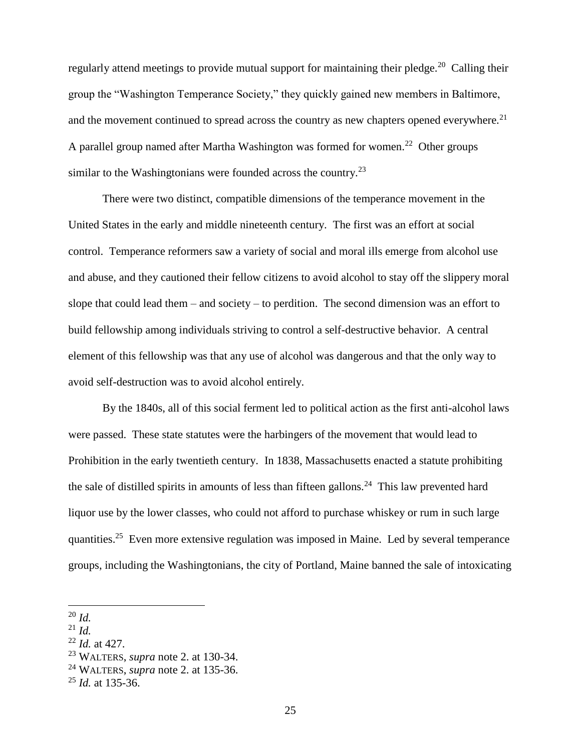regularly attend meetings to provide mutual support for maintaining their pledge.<sup>20</sup> Calling their group the "Washington Temperance Society," they quickly gained new members in Baltimore, and the movement continued to spread across the country as new chapters opened everywhere.<sup>21</sup> A parallel group named after Martha Washington was formed for women.<sup>22</sup> Other groups similar to the Washingtonians were founded across the country.<sup>23</sup>

There were two distinct, compatible dimensions of the temperance movement in the United States in the early and middle nineteenth century. The first was an effort at social control. Temperance reformers saw a variety of social and moral ills emerge from alcohol use and abuse, and they cautioned their fellow citizens to avoid alcohol to stay off the slippery moral slope that could lead them – and society – to perdition. The second dimension was an effort to build fellowship among individuals striving to control a self-destructive behavior. A central element of this fellowship was that any use of alcohol was dangerous and that the only way to avoid self-destruction was to avoid alcohol entirely.

By the 1840s, all of this social ferment led to political action as the first anti-alcohol laws were passed. These state statutes were the harbingers of the movement that would lead to Prohibition in the early twentieth century. In 1838, Massachusetts enacted a statute prohibiting the sale of distilled spirits in amounts of less than fifteen gallons.<sup>24</sup> This law prevented hard liquor use by the lower classes, who could not afford to purchase whiskey or rum in such large quantities.<sup>25</sup> Even more extensive regulation was imposed in Maine. Led by several temperance groups, including the Washingtonians, the city of Portland, Maine banned the sale of intoxicating

- <sup>21</sup> *Id.*
- <sup>22</sup> *Id.* at 427.
- <sup>23</sup> WALTERS, *supra* note 2. at 130-34.
- <sup>24</sup> WALTERS, *supra* note 2. at 135-36.

<sup>20</sup> *Id.*

<sup>25</sup> *Id.* at 135-36.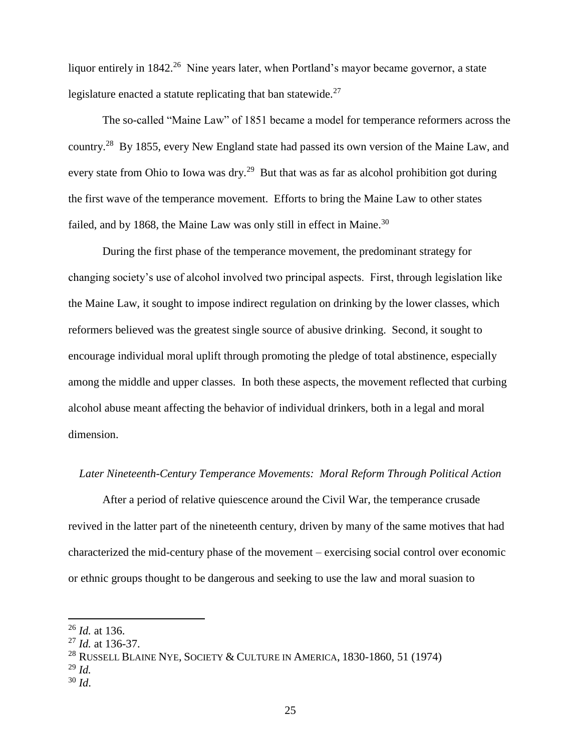liquor entirely in 1842.<sup>26</sup> Nine years later, when Portland's mayor became governor, a state legislature enacted a statute replicating that ban statewide.<sup>27</sup>

The so-called "Maine Law" of 1851 became a model for temperance reformers across the country.<sup>28</sup> By 1855, every New England state had passed its own version of the Maine Law, and every state from Ohio to Iowa was dry.<sup>29</sup> But that was as far as alcohol prohibition got during the first wave of the temperance movement. Efforts to bring the Maine Law to other states failed, and by 1868, the Maine Law was only still in effect in Maine.<sup>30</sup>

During the first phase of the temperance movement, the predominant strategy for changing society's use of alcohol involved two principal aspects. First, through legislation like the Maine Law, it sought to impose indirect regulation on drinking by the lower classes, which reformers believed was the greatest single source of abusive drinking. Second, it sought to encourage individual moral uplift through promoting the pledge of total abstinence, especially among the middle and upper classes. In both these aspects, the movement reflected that curbing alcohol abuse meant affecting the behavior of individual drinkers, both in a legal and moral dimension.

### *Later Nineteenth-Century Temperance Movements: Moral Reform Through Political Action*

After a period of relative quiescence around the Civil War, the temperance crusade revived in the latter part of the nineteenth century, driven by many of the same motives that had characterized the mid-century phase of the movement – exercising social control over economic or ethnic groups thought to be dangerous and seeking to use the law and moral suasion to

<sup>26</sup> *Id.* at 136.

<sup>27</sup> *Id.* at 136-37.

<sup>&</sup>lt;sup>28</sup> RUSSELL BLAINE NYE, SOCIETY & CULTURE IN AMERICA, 1830-1860, 51 (1974)

<sup>29</sup> *Id.*

<sup>30</sup> *Id*.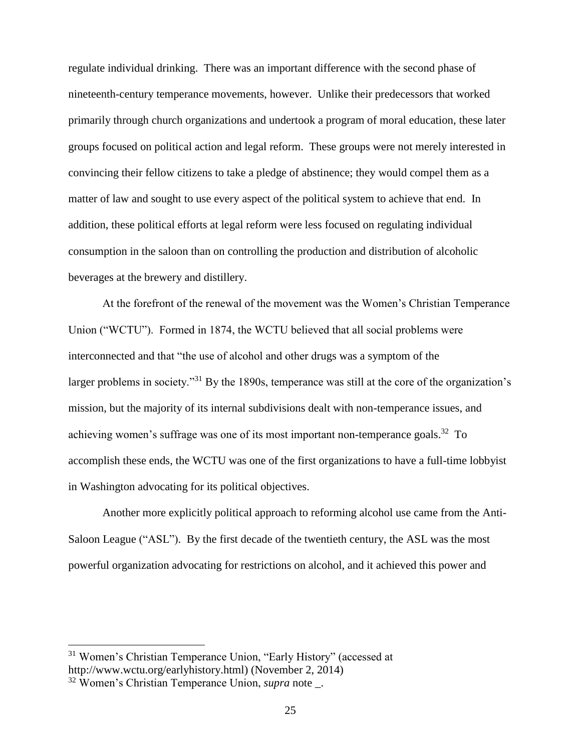regulate individual drinking. There was an important difference with the second phase of nineteenth-century temperance movements, however. Unlike their predecessors that worked primarily through church organizations and undertook a program of moral education, these later groups focused on political action and legal reform. These groups were not merely interested in convincing their fellow citizens to take a pledge of abstinence; they would compel them as a matter of law and sought to use every aspect of the political system to achieve that end. In addition, these political efforts at legal reform were less focused on regulating individual consumption in the saloon than on controlling the production and distribution of alcoholic beverages at the brewery and distillery.

At the forefront of the renewal of the movement was the Women's Christian Temperance Union ("WCTU"). Formed in 1874, the WCTU believed that all social problems were interconnected and that "the use of alcohol and other drugs was a symptom of the larger problems in society."<sup>31</sup> By the 1890s, temperance was still at the core of the organization's mission, but the majority of its internal subdivisions dealt with non-temperance issues, and achieving women's suffrage was one of its most important non-temperance goals.<sup>32</sup> To accomplish these ends, the WCTU was one of the first organizations to have a full-time lobbyist in Washington advocating for its political objectives.

Another more explicitly political approach to reforming alcohol use came from the Anti-Saloon League ("ASL"). By the first decade of the twentieth century, the ASL was the most powerful organization advocating for restrictions on alcohol, and it achieved this power and

<sup>31</sup> Women's Christian Temperance Union, "Early History" (accessed at http://www.wctu.org/earlyhistory.html) (November 2, 2014)

<sup>32</sup> Women's Christian Temperance Union, *supra* note \_.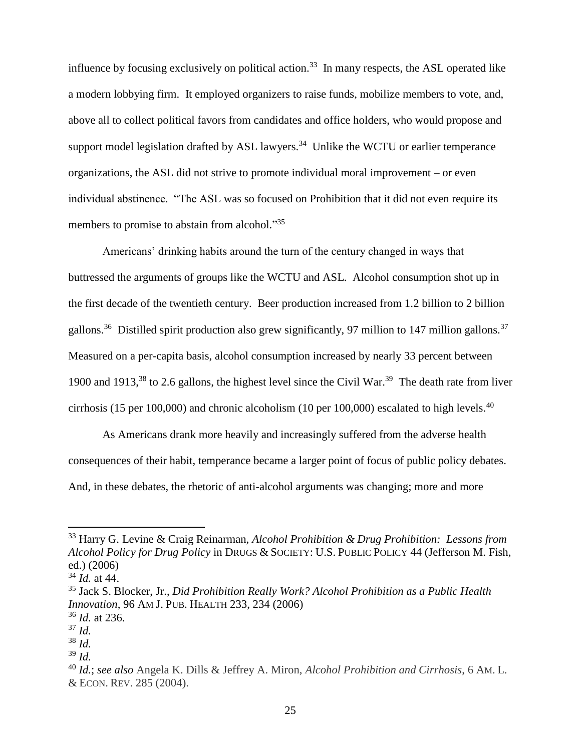influence by focusing exclusively on political action.<sup>33</sup> In many respects, the ASL operated like a modern lobbying firm. It employed organizers to raise funds, mobilize members to vote, and, above all to collect political favors from candidates and office holders, who would propose and support model legislation drafted by ASL lawyers.<sup>34</sup> Unlike the WCTU or earlier temperance organizations, the ASL did not strive to promote individual moral improvement – or even individual abstinence. "The ASL was so focused on Prohibition that it did not even require its members to promise to abstain from alcohol."35

Americans' drinking habits around the turn of the century changed in ways that buttressed the arguments of groups like the WCTU and ASL. Alcohol consumption shot up in the first decade of the twentieth century. Beer production increased from 1.2 billion to 2 billion gallons.<sup>36</sup> Distilled spirit production also grew significantly, 97 million to 147 million gallons.<sup>37</sup> Measured on a per-capita basis, alcohol consumption increased by nearly 33 percent between 1900 and 1913, $38$  to 2.6 gallons, the highest level since the Civil War. $39$  The death rate from liver cirrhosis (15 per 100,000) and chronic alcoholism (10 per 100,000) escalated to high levels.<sup>40</sup>

As Americans drank more heavily and increasingly suffered from the adverse health consequences of their habit, temperance became a larger point of focus of public policy debates. And, in these debates, the rhetoric of anti-alcohol arguments was changing; more and more

l

<sup>39</sup> *Id.*

<sup>33</sup> Harry G. Levine & Craig Reinarman, *Alcohol Prohibition & Drug Prohibition: Lessons from Alcohol Policy for Drug Policy* in DRUGS & SOCIETY: U.S. PUBLIC POLICY 44 (Jefferson M. Fish, ed.) (2006)

<sup>34</sup> *Id.* at 44.

<sup>35</sup> Jack S. Blocker, Jr., *Did Prohibition Really Work? Alcohol Prohibition as a Public Health Innovation*, 96 AM J. PUB. HEALTH 233, 234 (2006)

<sup>36</sup> *Id.* at 236.

<sup>37</sup> *Id.* <sup>38</sup> *Id.*

<sup>40</sup> *Id.*; *see also* Angela K. Dills & Jeffrey A. Miron, *Alcohol Prohibition and Cirrhosis*, 6 AM. L. & ECON. REV. 285 (2004).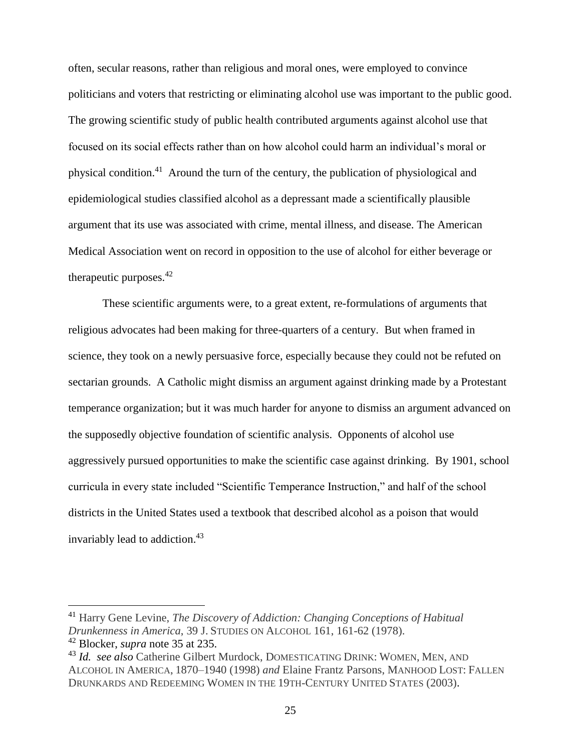often, secular reasons, rather than religious and moral ones, were employed to convince politicians and voters that restricting or eliminating alcohol use was important to the public good. The growing scientific study of public health contributed arguments against alcohol use that focused on its social effects rather than on how alcohol could harm an individual's moral or physical condition.<sup>41</sup> Around the turn of the century, the publication of physiological and epidemiological studies classified alcohol as a depressant made a scientifically plausible argument that its use was associated with crime, mental illness, and disease. The American Medical Association went on record in opposition to the use of alcohol for either beverage or therapeutic purposes.  $42$ 

These scientific arguments were, to a great extent, re-formulations of arguments that religious advocates had been making for three-quarters of a century. But when framed in science, they took on a newly persuasive force, especially because they could not be refuted on sectarian grounds. A Catholic might dismiss an argument against drinking made by a Protestant temperance organization; but it was much harder for anyone to dismiss an argument advanced on the supposedly objective foundation of scientific analysis. Opponents of alcohol use aggressively pursued opportunities to make the scientific case against drinking. By 1901, school curricula in every state included "Scientific Temperance Instruction," and half of the school districts in the United States used a textbook that described alcohol as a poison that would invariably lead to addiction. 43

<sup>41</sup> Harry Gene Levine, *The Discovery of Addiction: Changing Conceptions of Habitual Drunkenness in America*, 39 J. STUDIES ON ALCOHOL 161, 161-62 (1978).

<sup>42</sup> Blocker, *supra* note 35 at 235.

<sup>43</sup> *Id. see also* Catherine Gilbert Murdock, DOMESTICATING DRINK: WOMEN, MEN, AND ALCOHOL IN AMERICA, 1870–1940 (1998) *and* Elaine Frantz Parsons, MANHOOD LOST: FALLEN DRUNKARDS AND REDEEMING WOMEN IN THE 19TH-CENTURY UNITED STATES (2003).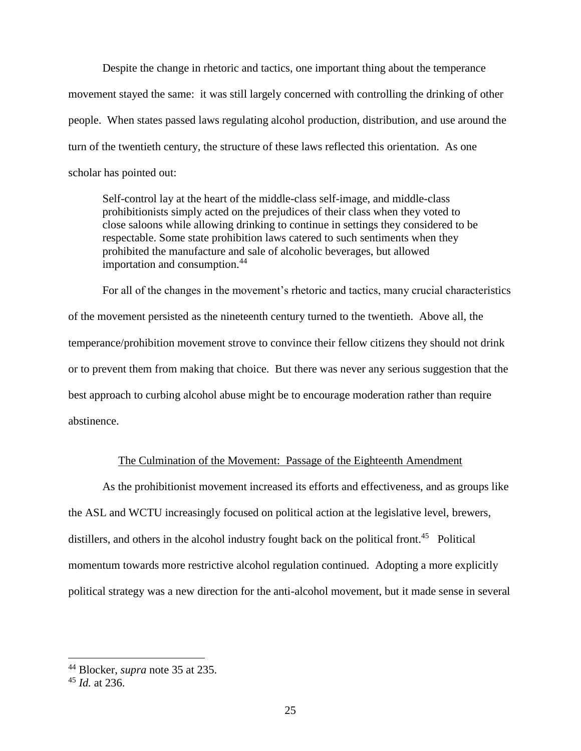Despite the change in rhetoric and tactics, one important thing about the temperance movement stayed the same: it was still largely concerned with controlling the drinking of other people. When states passed laws regulating alcohol production, distribution, and use around the turn of the twentieth century, the structure of these laws reflected this orientation. As one scholar has pointed out:

Self-control lay at the heart of the middle-class self-image, and middle-class prohibitionists simply acted on the prejudices of their class when they voted to close saloons while allowing drinking to continue in settings they considered to be respectable. Some state prohibition laws catered to such sentiments when they prohibited the manufacture and sale of alcoholic beverages, but allowed importation and consumption.<sup>44</sup>

For all of the changes in the movement's rhetoric and tactics, many crucial characteristics of the movement persisted as the nineteenth century turned to the twentieth. Above all, the temperance/prohibition movement strove to convince their fellow citizens they should not drink or to prevent them from making that choice. But there was never any serious suggestion that the best approach to curbing alcohol abuse might be to encourage moderation rather than require abstinence.

# The Culmination of the Movement: Passage of the Eighteenth Amendment

As the prohibitionist movement increased its efforts and effectiveness, and as groups like the ASL and WCTU increasingly focused on political action at the legislative level, brewers, distillers, and others in the alcohol industry fought back on the political front.<sup>45</sup> Political momentum towards more restrictive alcohol regulation continued. Adopting a more explicitly political strategy was a new direction for the anti-alcohol movement, but it made sense in several

<sup>44</sup> Blocker, *supra* note 35 at 235.

<sup>45</sup> *Id.* at 236.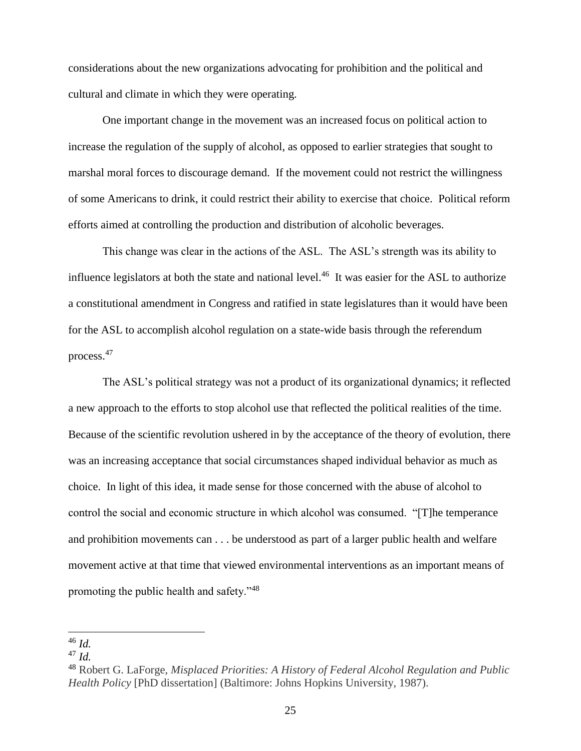considerations about the new organizations advocating for prohibition and the political and cultural and climate in which they were operating.

One important change in the movement was an increased focus on political action to increase the regulation of the supply of alcohol, as opposed to earlier strategies that sought to marshal moral forces to discourage demand. If the movement could not restrict the willingness of some Americans to drink, it could restrict their ability to exercise that choice. Political reform efforts aimed at controlling the production and distribution of alcoholic beverages.

This change was clear in the actions of the ASL. The ASL's strength was its ability to influence legislators at both the state and national level. $46$  It was easier for the ASL to authorize a constitutional amendment in Congress and ratified in state legislatures than it would have been for the ASL to accomplish alcohol regulation on a state-wide basis through the referendum process.<sup>47</sup>

The ASL's political strategy was not a product of its organizational dynamics; it reflected a new approach to the efforts to stop alcohol use that reflected the political realities of the time. Because of the scientific revolution ushered in by the acceptance of the theory of evolution, there was an increasing acceptance that social circumstances shaped individual behavior as much as choice. In light of this idea, it made sense for those concerned with the abuse of alcohol to control the social and economic structure in which alcohol was consumed. "[T]he temperance and prohibition movements can . . . be understood as part of a larger public health and welfare movement active at that time that viewed environmental interventions as an important means of promoting the public health and safety."<sup>48</sup>

 $\overline{a}$ <sup>46</sup> *Id.*

<sup>47</sup> *Id.*

<sup>48</sup> Robert G. LaForge, *Misplaced Priorities: A History of Federal Alcohol Regulation and Public Health Policy* [PhD dissertation] (Baltimore: Johns Hopkins University, 1987).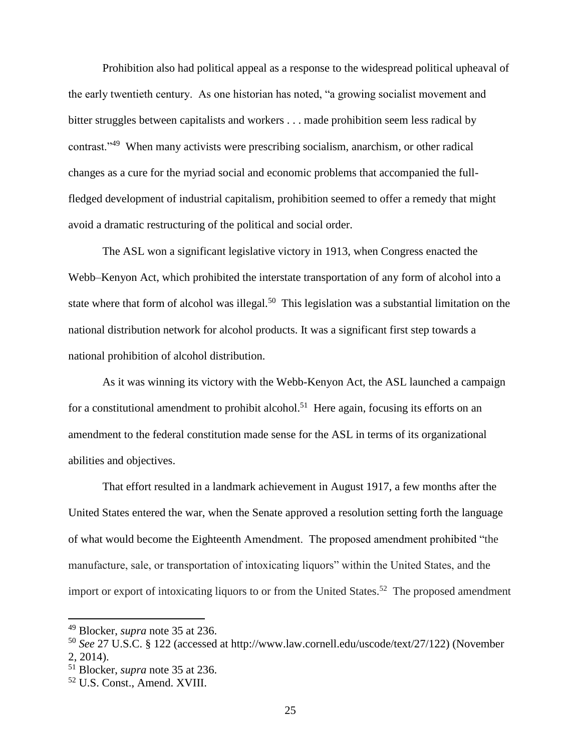Prohibition also had political appeal as a response to the widespread political upheaval of the early twentieth century. As one historian has noted, "a growing socialist movement and bitter struggles between capitalists and workers . . . made prohibition seem less radical by contrast."<sup>49</sup> When many activists were prescribing socialism, anarchism, or other radical changes as a cure for the myriad social and economic problems that accompanied the fullfledged development of industrial capitalism, prohibition seemed to offer a remedy that might avoid a dramatic restructuring of the political and social order.

The ASL won a significant legislative victory in 1913, when Congress enacted the Webb–Kenyon Act, which prohibited the interstate transportation of any form of alcohol into a state where that form of alcohol was illegal.<sup>50</sup> This legislation was a substantial limitation on the national distribution network for alcohol products. It was a significant first step towards a national prohibition of alcohol distribution.

As it was winning its victory with the Webb-Kenyon Act, the ASL launched a campaign for a constitutional amendment to prohibit alcohol.<sup>51</sup> Here again, focusing its efforts on an amendment to the federal constitution made sense for the ASL in terms of its organizational abilities and objectives.

That effort resulted in a landmark achievement in August 1917, a few months after the United States entered the war, when the Senate approved a resolution setting forth the language of what would become the Eighteenth Amendment. The proposed amendment prohibited "the manufacture, sale, or transportation of intoxicating liquors" within the United States, and the import or export of intoxicating liquors to or from the United States.<sup>52</sup> The proposed amendment

<sup>49</sup> Blocker, *supra* note 35 at 236.

<sup>50</sup> *See* 27 U.S.C. § 122 (accessed at http://www.law.cornell.edu/uscode/text/27/122) (November 2, 2014).

<sup>51</sup> Blocker, *supra* note 35 at 236.

<sup>52</sup> U.S. Const., Amend. XVIII.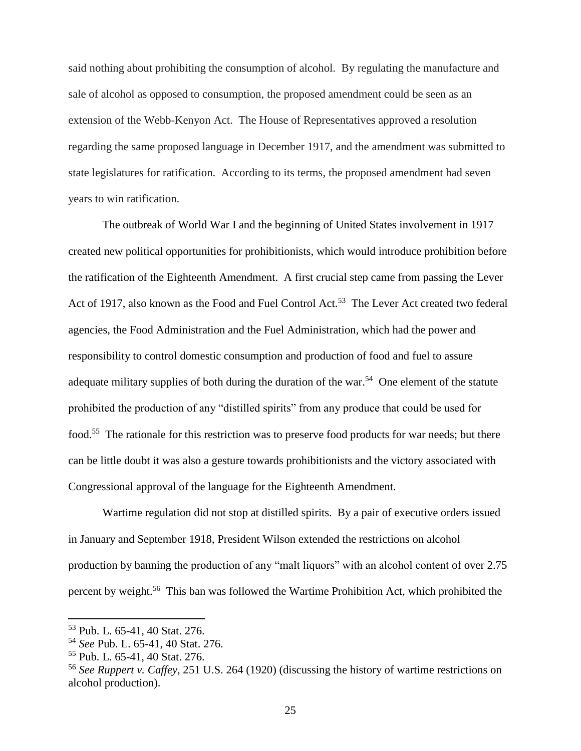said nothing about prohibiting the consumption of alcohol. By regulating the manufacture and sale of alcohol as opposed to consumption, the proposed amendment could be seen as an extension of the Webb-Kenyon Act. The House of Representatives approved a resolution regarding the same proposed language in December 1917, and the amendment was submitted to state legislatures for ratification. According to its terms, the proposed amendment had seven years to win ratification.

The outbreak of World War I and the beginning of United States involvement in 1917 created new political opportunities for prohibitionists, which would introduce prohibition before the ratification of the Eighteenth Amendment. A first crucial step came from passing the Lever Act of 1917, also known as the Food and Fuel Control Act.<sup>53</sup> The Lever Act created two federal agencies, the Food Administration and the Fuel Administration, which had the power and responsibility to control domestic consumption and production of food and fuel to assure adequate military supplies of both during the duration of the war.<sup>54</sup> One element of the statute prohibited the production of any "distilled spirits" from any produce that could be used for food.<sup>55</sup> The rationale for this restriction was to preserve food products for war needs; but there can be little doubt it was also a gesture towards prohibitionists and the victory associated with Congressional approval of the language for the Eighteenth Amendment.

Wartime regulation did not stop at distilled spirits. By a pair of executive orders issued in January and September 1918, President Wilson extended the restrictions on alcohol production by banning the production of any "malt liquors" with an alcohol content of over 2.75 percent by weight.<sup>56</sup> This ban was followed the Wartime Prohibition Act, which prohibited the

<sup>53</sup> Pub. L. 65-41, 40 Stat. 276.

<sup>54</sup> *See* Pub. L. 65-41, 40 Stat. 276.

<sup>55</sup> Pub. L. 65-41, 40 Stat. 276.

<sup>56</sup> *See Ruppert v. Caffey*, 251 U.S. 264 (1920) (discussing the history of wartime restrictions on alcohol production).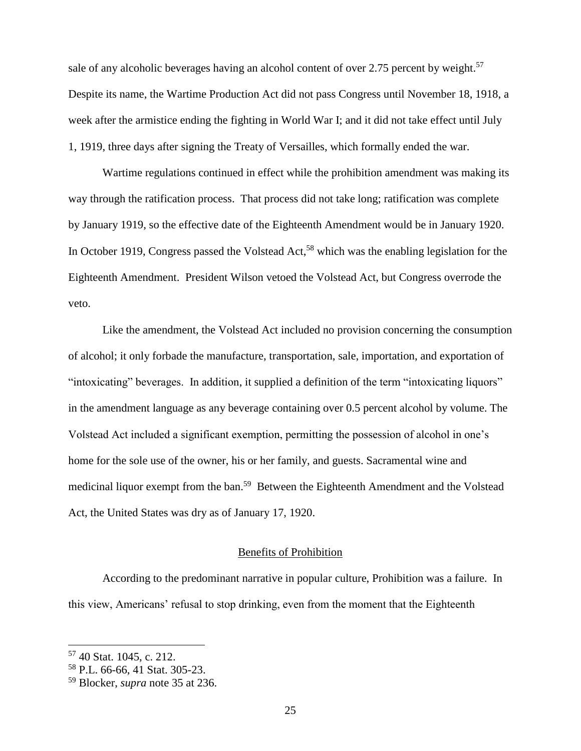sale of any alcoholic beverages having an alcohol content of over 2.75 percent by weight.<sup>57</sup> Despite its name, the Wartime Production Act did not pass Congress until November 18, 1918, a week after the armistice ending the fighting in World War I; and it did not take effect until July 1, 1919, three days after signing the Treaty of Versailles, which formally ended the war.

Wartime regulations continued in effect while the prohibition amendment was making its way through the ratification process. That process did not take long; ratification was complete by January 1919, so the effective date of the Eighteenth Amendment would be in January 1920. In October 1919, Congress passed the Volstead Act,<sup>58</sup> which was the enabling legislation for the Eighteenth Amendment. President Wilson vetoed the Volstead Act, but Congress overrode the veto.

Like the amendment, the Volstead Act included no provision concerning the consumption of alcohol; it only forbade the manufacture, transportation, sale, importation, and exportation of "intoxicating" beverages. In addition, it supplied a definition of the term "intoxicating liquors" in the amendment language as any beverage containing over 0.5 percent alcohol by volume. The Volstead Act included a significant exemption, permitting the possession of alcohol in one's home for the sole use of the owner, his or her family, and guests. Sacramental wine and medicinal liquor exempt from the ban.<sup>59</sup> Between the Eighteenth Amendment and the Volstead Act, the United States was dry as of January 17, 1920.

# Benefits of Prohibition

According to the predominant narrative in popular culture, Prohibition was a failure. In this view, Americans' refusal to stop drinking, even from the moment that the Eighteenth

<sup>57</sup> 40 Stat. 1045, c. 212.

<sup>58</sup> P.L. 66-66, 41 Stat. 305-23.

<sup>59</sup> Blocker, *supra* note 35 at 236.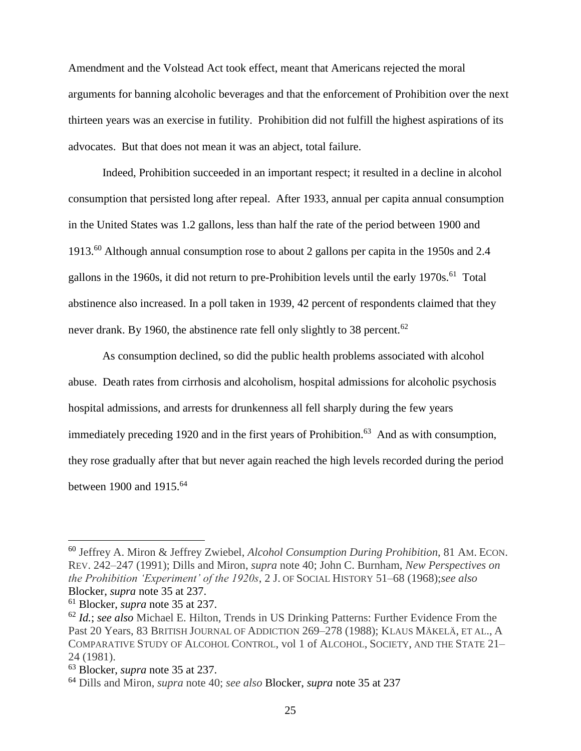Amendment and the Volstead Act took effect, meant that Americans rejected the moral arguments for banning alcoholic beverages and that the enforcement of Prohibition over the next thirteen years was an exercise in futility. Prohibition did not fulfill the highest aspirations of its advocates. But that does not mean it was an abject, total failure.

Indeed, Prohibition succeeded in an important respect; it resulted in a decline in alcohol consumption that persisted long after repeal. After 1933, annual per capita annual consumption in the United States was 1.2 gallons, less than half the rate of the period between 1900 and 1913.<sup>60</sup> Although annual consumption rose to about 2 gallons per capita in the 1950s and 2.4 gallons in the 1960s, it did not return to pre-Prohibition levels until the early 1970s.<sup>61</sup> Total abstinence also increased. In a poll taken in 1939, 42 percent of respondents claimed that they never drank. By 1960, the abstinence rate fell only slightly to 38 percent.<sup>62</sup>

As consumption declined, so did the public health problems associated with alcohol abuse. Death rates from cirrhosis and alcoholism, hospital admissions for alcoholic psychosis hospital admissions, and arrests for drunkenness all fell sharply during the few years immediately preceding 1920 and in the first years of Prohibition.<sup>63</sup> And as with consumption, they rose gradually after that but never again reached the high levels recorded during the period between 1900 and 1915.<sup>64</sup>

<sup>60</sup> Jeffrey A. Miron & Jeffrey Zwiebel, *Alcohol Consumption During Prohibition*, 81 AM. ECON. REV. 242–247 (1991); Dills and Miron, *supra* note 40; John C. Burnham, *New Perspectives on the Prohibition 'Experiment' of the 1920s*, 2 J. OF SOCIAL HISTORY 51–68 (1968);*see also* Blocker, *supra* note 35 at 237.

<sup>61</sup> Blocker, *supra* note 35 at 237.

<sup>62</sup> *Id.*; *see also* Michael E. Hilton, Trends in US Drinking Patterns: Further Evidence From the Past 20 Years, 83 BRITISH JOURNAL OF ADDICTION 269–278 (1988); KLAUS MÄKELÄ, ET AL., A COMPARATIVE STUDY OF ALCOHOL CONTROL, vol 1 of ALCOHOL, SOCIETY, AND THE STATE 21– 24 (1981).

<sup>63</sup> Blocker, *supra* note 35 at 237.

<sup>64</sup> Dills and Miron, *supra* note 40; *see also* Blocker, *supra* note 35 at 237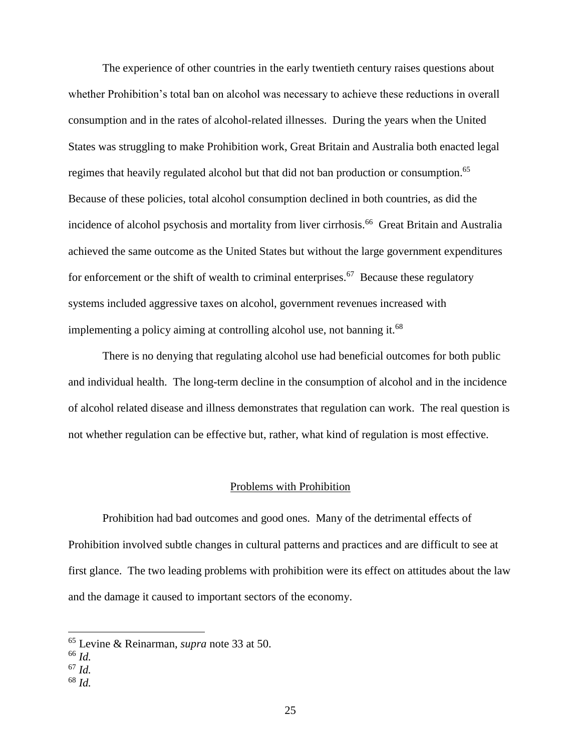The experience of other countries in the early twentieth century raises questions about whether Prohibition's total ban on alcohol was necessary to achieve these reductions in overall consumption and in the rates of alcohol-related illnesses. During the years when the United States was struggling to make Prohibition work, Great Britain and Australia both enacted legal regimes that heavily regulated alcohol but that did not ban production or consumption.<sup>65</sup> Because of these policies, total alcohol consumption declined in both countries, as did the incidence of alcohol psychosis and mortality from liver cirrhosis.<sup>66</sup> Great Britain and Australia achieved the same outcome as the United States but without the large government expenditures for enforcement or the shift of wealth to criminal enterprises.<sup>67</sup> Because these regulatory systems included aggressive taxes on alcohol, government revenues increased with implementing a policy aiming at controlling alcohol use, not banning it.<sup>68</sup>

There is no denying that regulating alcohol use had beneficial outcomes for both public and individual health. The long-term decline in the consumption of alcohol and in the incidence of alcohol related disease and illness demonstrates that regulation can work. The real question is not whether regulation can be effective but, rather, what kind of regulation is most effective.

# Problems with Prohibition

Prohibition had bad outcomes and good ones. Many of the detrimental effects of Prohibition involved subtle changes in cultural patterns and practices and are difficult to see at first glance. The two leading problems with prohibition were its effect on attitudes about the law and the damage it caused to important sectors of the economy.

<sup>65</sup> Levine & Reinarman, *supra* note 33 at 50.

<sup>66</sup> *Id.*

<sup>67</sup> *Id.*

<sup>68</sup> *Id.*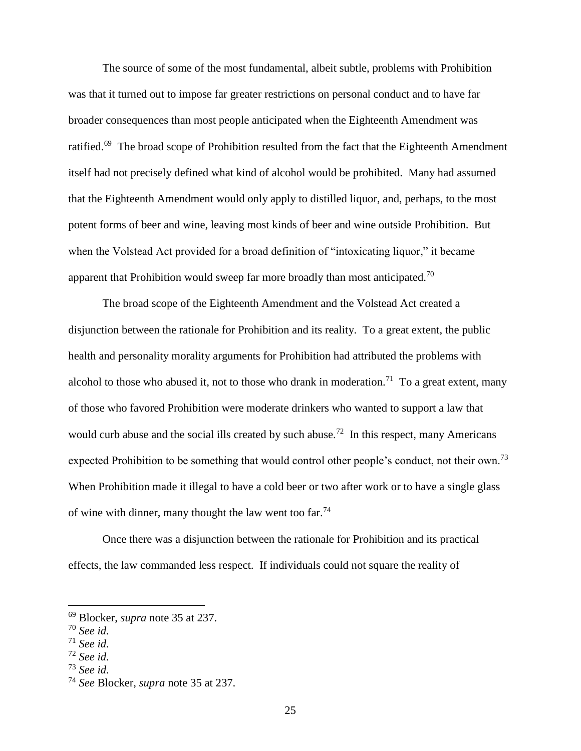The source of some of the most fundamental, albeit subtle, problems with Prohibition was that it turned out to impose far greater restrictions on personal conduct and to have far broader consequences than most people anticipated when the Eighteenth Amendment was ratified.<sup>69</sup> The broad scope of Prohibition resulted from the fact that the Eighteenth Amendment itself had not precisely defined what kind of alcohol would be prohibited. Many had assumed that the Eighteenth Amendment would only apply to distilled liquor, and, perhaps, to the most potent forms of beer and wine, leaving most kinds of beer and wine outside Prohibition. But when the Volstead Act provided for a broad definition of "intoxicating liquor," it became apparent that Prohibition would sweep far more broadly than most anticipated.<sup>70</sup>

The broad scope of the Eighteenth Amendment and the Volstead Act created a disjunction between the rationale for Prohibition and its reality. To a great extent, the public health and personality morality arguments for Prohibition had attributed the problems with alcohol to those who abused it, not to those who drank in moderation.<sup>71</sup> To a great extent, many of those who favored Prohibition were moderate drinkers who wanted to support a law that would curb abuse and the social ills created by such abuse.<sup>72</sup> In this respect, many Americans expected Prohibition to be something that would control other people's conduct, not their own.<sup>73</sup> When Prohibition made it illegal to have a cold beer or two after work or to have a single glass of wine with dinner, many thought the law went too far.<sup>74</sup>

Once there was a disjunction between the rationale for Prohibition and its practical effects, the law commanded less respect. If individuals could not square the reality of

 $\overline{a}$ 

<sup>73</sup> *See id.*

<sup>69</sup> Blocker, *supra* note 35 at 237.

<sup>70</sup> *See id.*

<sup>71</sup> *See id.*

<sup>72</sup> *See id.*

<sup>74</sup> *See* Blocker, *supra* note 35 at 237.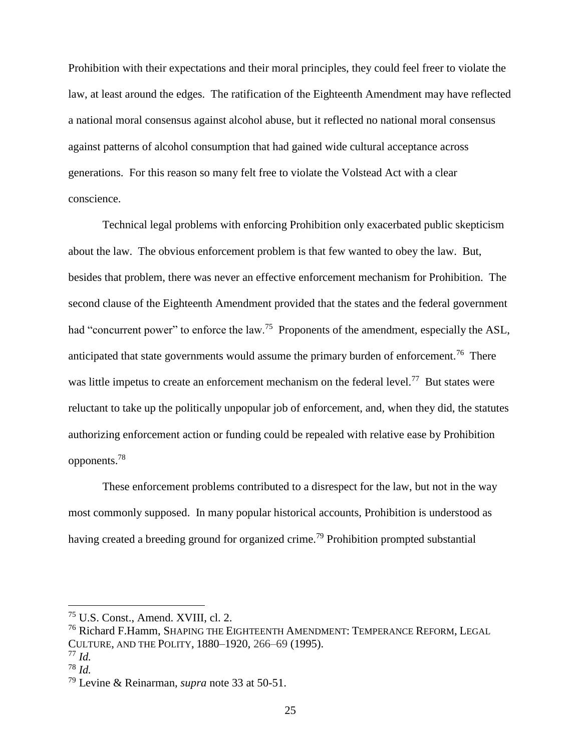Prohibition with their expectations and their moral principles, they could feel freer to violate the law, at least around the edges. The ratification of the Eighteenth Amendment may have reflected a national moral consensus against alcohol abuse, but it reflected no national moral consensus against patterns of alcohol consumption that had gained wide cultural acceptance across generations. For this reason so many felt free to violate the Volstead Act with a clear conscience.

Technical legal problems with enforcing Prohibition only exacerbated public skepticism about the law. The obvious enforcement problem is that few wanted to obey the law. But, besides that problem, there was never an effective enforcement mechanism for Prohibition. The second clause of the Eighteenth Amendment provided that the states and the federal government had "concurrent power" to enforce the law.<sup>75</sup> Proponents of the amendment, especially the ASL, anticipated that state governments would assume the primary burden of enforcement.<sup>76</sup> There was little impetus to create an enforcement mechanism on the federal level.<sup>77</sup> But states were reluctant to take up the politically unpopular job of enforcement, and, when they did, the statutes authorizing enforcement action or funding could be repealed with relative ease by Prohibition opponents.<sup>78</sup>

These enforcement problems contributed to a disrespect for the law, but not in the way most commonly supposed. In many popular historical accounts, Prohibition is understood as having created a breeding ground for organized crime.<sup>79</sup> Prohibition prompted substantial

<sup>75</sup> U.S. Const., Amend. XVIII, cl. 2.

<sup>&</sup>lt;sup>76</sup> Richard F.Hamm, SHAPING THE EIGHTEENTH AMENDMENT: TEMPERANCE REFORM, LEGAL CULTURE, AND THE POLITY, 1880–1920, 266–69 (1995).

<sup>77</sup> *Id.*

<sup>78</sup> *Id.*

<sup>79</sup> Levine & Reinarman, *supra* note 33 at 50-51.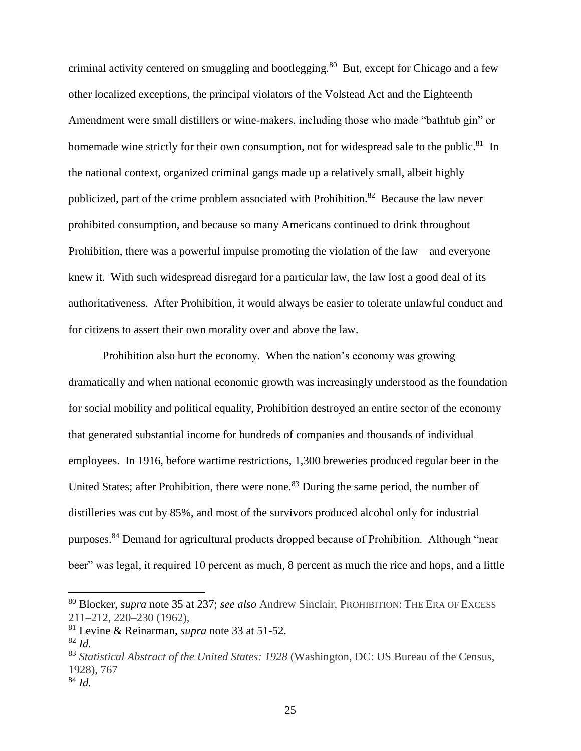criminal activity centered on smuggling and bootlegging.<sup>80</sup> But, except for Chicago and a few other localized exceptions, the principal violators of the Volstead Act and the Eighteenth Amendment were small distillers or wine-makers, including those who made "bathtub gin" or homemade wine strictly for their own consumption, not for widespread sale to the public.<sup>81</sup> In the national context, organized criminal gangs made up a relatively small, albeit highly publicized, part of the crime problem associated with Prohibition.<sup>82</sup> Because the law never prohibited consumption, and because so many Americans continued to drink throughout Prohibition, there was a powerful impulse promoting the violation of the law – and everyone knew it. With such widespread disregard for a particular law, the law lost a good deal of its authoritativeness. After Prohibition, it would always be easier to tolerate unlawful conduct and for citizens to assert their own morality over and above the law.

Prohibition also hurt the economy. When the nation's economy was growing dramatically and when national economic growth was increasingly understood as the foundation for social mobility and political equality, Prohibition destroyed an entire sector of the economy that generated substantial income for hundreds of companies and thousands of individual employees. In 1916, before wartime restrictions, 1,300 breweries produced regular beer in the United States; after Prohibition, there were none.<sup>83</sup> During the same period, the number of distilleries was cut by 85%, and most of the survivors produced alcohol only for industrial purposes.<sup>84</sup> Demand for agricultural products dropped because of Prohibition. Although "near beer" was legal, it required 10 percent as much, 8 percent as much the rice and hops, and a little

<sup>80</sup> Blocker, *supra* note 35 at 237; *see also* Andrew Sinclair, PROHIBITION: THE ERA OF EXCESS 211–212, 220–230 (1962),

<sup>81</sup> Levine & Reinarman, *supra* note 33 at 51-52.

<sup>82</sup> *Id.*

<sup>83</sup> *Statistical Abstract of the United States: 1928* (Washington, DC: US Bureau of the Census, 1928), 767

<sup>84</sup> *Id.*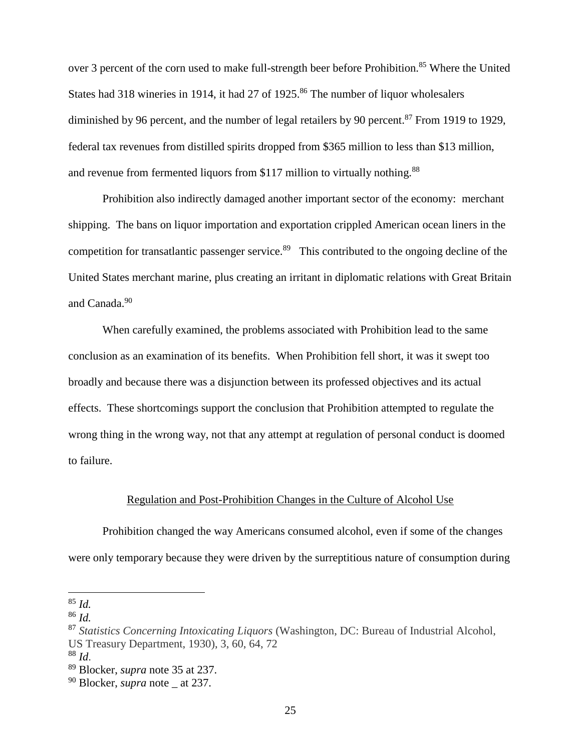over 3 percent of the corn used to make full-strength beer before Prohibition.<sup>85</sup> Where the United States had 318 wineries in 1914, it had 27 of 1925.<sup>86</sup> The number of liquor wholesalers diminished by 96 percent, and the number of legal retailers by 90 percent.<sup>87</sup> From 1919 to 1929, federal tax revenues from distilled spirits dropped from \$365 million to less than \$13 million, and revenue from fermented liquors from \$117 million to virtually nothing.<sup>88</sup>

Prohibition also indirectly damaged another important sector of the economy: merchant shipping. The bans on liquor importation and exportation crippled American ocean liners in the competition for transatlantic passenger service.<sup>89</sup> This contributed to the ongoing decline of the United States merchant marine, plus creating an irritant in diplomatic relations with Great Britain and Canada.<sup>90</sup>

When carefully examined, the problems associated with Prohibition lead to the same conclusion as an examination of its benefits. When Prohibition fell short, it was it swept too broadly and because there was a disjunction between its professed objectives and its actual effects. These shortcomings support the conclusion that Prohibition attempted to regulate the wrong thing in the wrong way, not that any attempt at regulation of personal conduct is doomed to failure.

### Regulation and Post-Prohibition Changes in the Culture of Alcohol Use

Prohibition changed the way Americans consumed alcohol, even if some of the changes were only temporary because they were driven by the surreptitious nature of consumption during

<sup>85</sup> *Id.*

<sup>86</sup> *Id.*

<sup>87</sup> *Statistics Concerning Intoxicating Liquors* (Washington, DC: Bureau of Industrial Alcohol, US Treasury Department, 1930), 3, 60, 64, 72

<sup>88</sup> *Id*.

<sup>89</sup> Blocker, *supra* note 35 at 237.

<sup>90</sup> Blocker, *supra* note \_ at 237.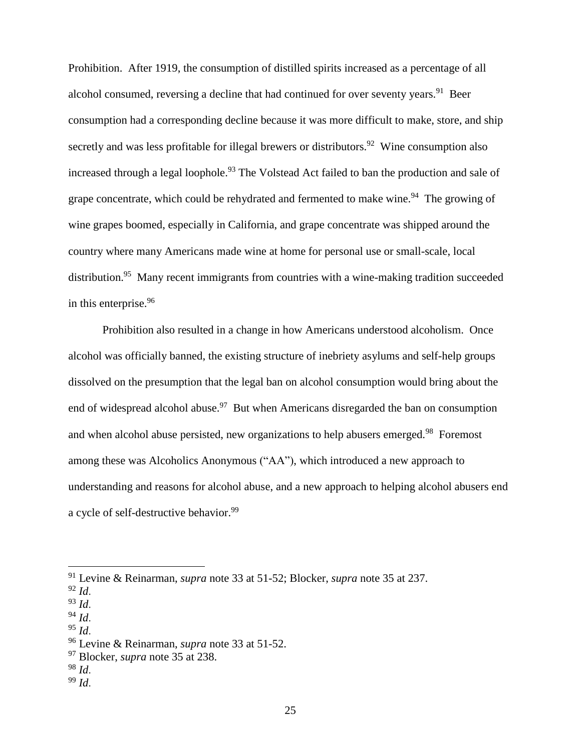Prohibition. After 1919, the consumption of distilled spirits increased as a percentage of all alcohol consumed, reversing a decline that had continued for over seventy years.<sup>91</sup> Beer consumption had a corresponding decline because it was more difficult to make, store, and ship secretly and was less profitable for illegal brewers or distributors.<sup>92</sup> Wine consumption also increased through a legal loophole.<sup>93</sup> The Volstead Act failed to ban the production and sale of grape concentrate, which could be rehydrated and fermented to make wine.<sup>94</sup> The growing of wine grapes boomed, especially in California, and grape concentrate was shipped around the country where many Americans made wine at home for personal use or small-scale, local distribution.<sup>95</sup> Many recent immigrants from countries with a wine-making tradition succeeded in this enterprise.<sup>96</sup>

Prohibition also resulted in a change in how Americans understood alcoholism. Once alcohol was officially banned, the existing structure of inebriety asylums and self-help groups dissolved on the presumption that the legal ban on alcohol consumption would bring about the end of widespread alcohol abuse.<sup>97</sup> But when Americans disregarded the ban on consumption and when alcohol abuse persisted, new organizations to help abusers emerged.<sup>98</sup> Foremost among these was Alcoholics Anonymous ("AA"), which introduced a new approach to understanding and reasons for alcohol abuse, and a new approach to helping alcohol abusers end a cycle of self-destructive behavior.<sup>99</sup>

- <sup>94</sup> *Id*.
- $^{95}$  *Id.*

- <sup>98</sup> *Id*.
- <sup>99</sup> *Id*.

<sup>91</sup> Levine & Reinarman, *supra* note 33 at 51-52; Blocker, *supra* note 35 at 237.

<sup>92</sup> *Id*.

<sup>93</sup> *Id*.

<sup>96</sup> Levine & Reinarman, *supra* note 33 at 51-52.

<sup>97</sup> Blocker, *supra* note 35 at 238.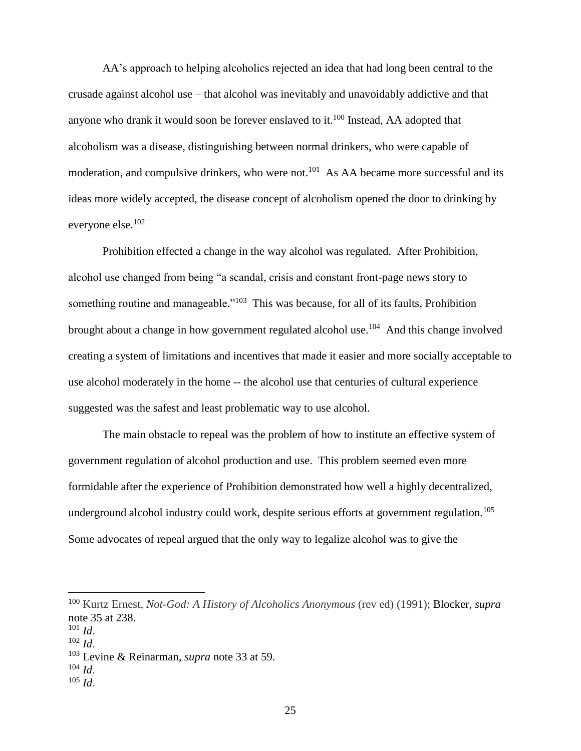AA's approach to helping alcoholics rejected an idea that had long been central to the crusade against alcohol use – that alcohol was inevitably and unavoidably addictive and that anyone who drank it would soon be forever enslaved to it.<sup>100</sup> Instead, AA adopted that alcoholism was a disease, distinguishing between normal drinkers, who were capable of moderation, and compulsive drinkers, who were not.<sup>101</sup> As AA became more successful and its ideas more widely accepted, the disease concept of alcoholism opened the door to drinking by everyone else.<sup>102</sup>

Prohibition effected a change in the way alcohol was regulated. After Prohibition, alcohol use changed from being "a scandal, crisis and constant front-page news story to something routine and manageable."<sup>103</sup> This was because, for all of its faults, Prohibition brought about a change in how government regulated alcohol use.<sup>104</sup> And this change involved creating a system of limitations and incentives that made it easier and more socially acceptable to use alcohol moderately in the home -- the alcohol use that centuries of cultural experience suggested was the safest and least problematic way to use alcohol.

The main obstacle to repeal was the problem of how to institute an effective system of government regulation of alcohol production and use. This problem seemed even more formidable after the experience of Prohibition demonstrated how well a highly decentralized, underground alcohol industry could work, despite serious efforts at government regulation.<sup>105</sup> Some advocates of repeal argued that the only way to legalize alcohol was to give the

<sup>100</sup> Kurtz Ernest, *Not-God: A History of Alcoholics Anonymous* (rev ed) (1991); Blocker, *supra* note 35 at 238.

<sup>101</sup> *Id*.

<sup>102</sup> *Id*.

<sup>103</sup> Levine & Reinarman, *supra* note 33 at 59.

<sup>104</sup> *Id*.

<sup>105</sup> *Id*.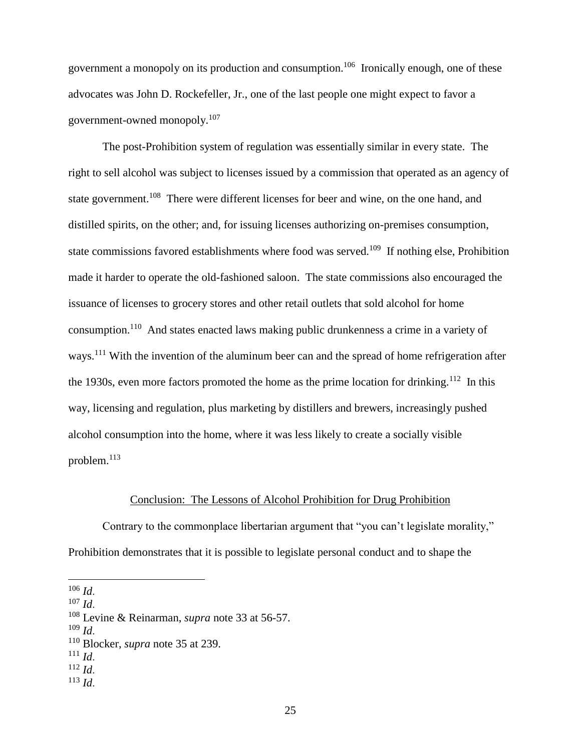government a monopoly on its production and consumption.<sup>106</sup> Ironically enough, one of these advocates was John D. Rockefeller, Jr., one of the last people one might expect to favor a government-owned monopoly.<sup>107</sup>

The post-Prohibition system of regulation was essentially similar in every state. The right to sell alcohol was subject to licenses issued by a commission that operated as an agency of state government.<sup>108</sup> There were different licenses for beer and wine, on the one hand, and distilled spirits, on the other; and, for issuing licenses authorizing on-premises consumption, state commissions favored establishments where food was served.<sup>109</sup> If nothing else, Prohibition made it harder to operate the old-fashioned saloon. The state commissions also encouraged the issuance of licenses to grocery stores and other retail outlets that sold alcohol for home consumption.<sup>110</sup> And states enacted laws making public drunkenness a crime in a variety of ways.<sup>111</sup> With the invention of the aluminum beer can and the spread of home refrigeration after the 1930s, even more factors promoted the home as the prime location for drinking.<sup>112</sup> In this way, licensing and regulation, plus marketing by distillers and brewers, increasingly pushed alcohol consumption into the home, where it was less likely to create a socially visible problem.<sup>113</sup>

### Conclusion: The Lessons of Alcohol Prohibition for Drug Prohibition

Contrary to the commonplace libertarian argument that "you can't legislate morality," Prohibition demonstrates that it is possible to legislate personal conduct and to shape the

- $111$  *Id.*
- <sup>112</sup> *Id*.
- <sup>113</sup> *Id*.

<sup>106</sup> *Id*.

<sup>107</sup> *Id*.

<sup>108</sup> Levine & Reinarman, *supra* note 33 at 56-57.

<sup>109</sup> *Id*.

<sup>110</sup> Blocker, *supra* note 35 at 239.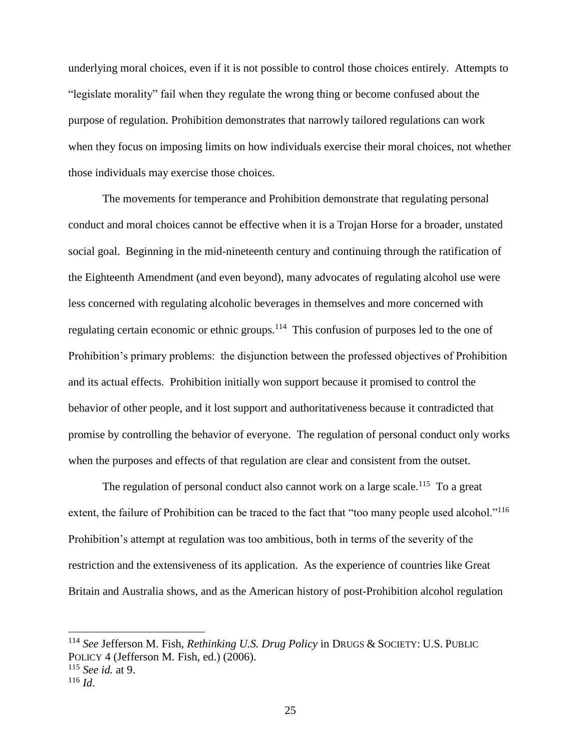underlying moral choices, even if it is not possible to control those choices entirely. Attempts to "legislate morality" fail when they regulate the wrong thing or become confused about the purpose of regulation. Prohibition demonstrates that narrowly tailored regulations can work when they focus on imposing limits on how individuals exercise their moral choices, not whether those individuals may exercise those choices.

The movements for temperance and Prohibition demonstrate that regulating personal conduct and moral choices cannot be effective when it is a Trojan Horse for a broader, unstated social goal. Beginning in the mid-nineteenth century and continuing through the ratification of the Eighteenth Amendment (and even beyond), many advocates of regulating alcohol use were less concerned with regulating alcoholic beverages in themselves and more concerned with regulating certain economic or ethnic groups.<sup>114</sup> This confusion of purposes led to the one of Prohibition's primary problems: the disjunction between the professed objectives of Prohibition and its actual effects. Prohibition initially won support because it promised to control the behavior of other people, and it lost support and authoritativeness because it contradicted that promise by controlling the behavior of everyone. The regulation of personal conduct only works when the purposes and effects of that regulation are clear and consistent from the outset.

The regulation of personal conduct also cannot work on a large scale.<sup>115</sup> To a great extent, the failure of Prohibition can be traced to the fact that "too many people used alcohol."<sup>116</sup> Prohibition's attempt at regulation was too ambitious, both in terms of the severity of the restriction and the extensiveness of its application. As the experience of countries like Great Britain and Australia shows, and as the American history of post-Prohibition alcohol regulation

<sup>114</sup> *See* Jefferson M. Fish, *Rethinking U.S. Drug Policy* in DRUGS & SOCIETY: U.S. PUBLIC POLICY 4 (Jefferson M. Fish, ed.) (2006). <sup>115</sup> *See id.* at 9.

<sup>116</sup> *Id*.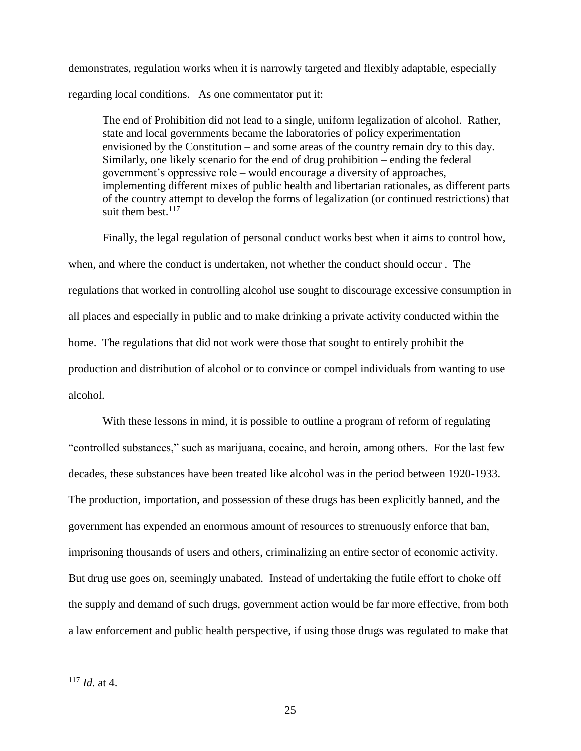demonstrates, regulation works when it is narrowly targeted and flexibly adaptable, especially regarding local conditions. As one commentator put it:

The end of Prohibition did not lead to a single, uniform legalization of alcohol. Rather, state and local governments became the laboratories of policy experimentation envisioned by the Constitution – and some areas of the country remain dry to this day. Similarly, one likely scenario for the end of drug prohibition – ending the federal government's oppressive role – would encourage a diversity of approaches, implementing different mixes of public health and libertarian rationales, as different parts of the country attempt to develop the forms of legalization (or continued restrictions) that suit them best. $117$ 

Finally, the legal regulation of personal conduct works best when it aims to control how, when, and where the conduct is undertaken, not whether the conduct should occur . The regulations that worked in controlling alcohol use sought to discourage excessive consumption in all places and especially in public and to make drinking a private activity conducted within the home. The regulations that did not work were those that sought to entirely prohibit the production and distribution of alcohol or to convince or compel individuals from wanting to use alcohol.

With these lessons in mind, it is possible to outline a program of reform of regulating "controlled substances," such as marijuana, cocaine, and heroin, among others. For the last few decades, these substances have been treated like alcohol was in the period between 1920-1933. The production, importation, and possession of these drugs has been explicitly banned, and the government has expended an enormous amount of resources to strenuously enforce that ban, imprisoning thousands of users and others, criminalizing an entire sector of economic activity. But drug use goes on, seemingly unabated. Instead of undertaking the futile effort to choke off the supply and demand of such drugs, government action would be far more effective, from both a law enforcement and public health perspective, if using those drugs was regulated to make that

<sup>117</sup> *Id.* at 4.